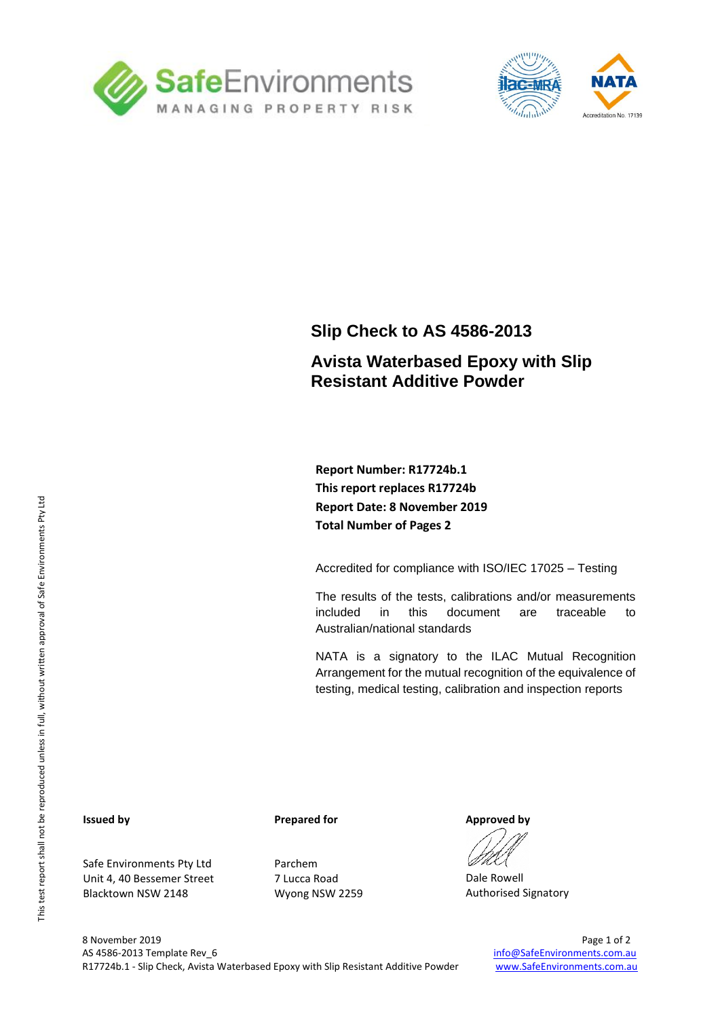



## **Slip Check to AS 4586-2013**

### **Avista Waterbased Epoxy with Slip Resistant Additive Powder**

**Report Number: R17724b.1 This report replaces R17724b Report Date: 8 November 2019 Total Number of Pages 2**

Accredited for compliance with ISO/IEC 17025 – Testing

The results of the tests, calibrations and/or measurements included in this document are traceable to Australian/national standards

NATA is a signatory to the ILAC Mutual Recognition Arrangement for the mutual recognition of the equivalence of testing, medical testing, calibration and inspection reports

#### **Issued by**

Safe Environments Pty Ltd Unit 4, 40 Bessemer Street Blacktown NSW 2148

#### **Prepared for**

Parchem 7 Lucca Road Wyong NSW 2259

**Approved by**

Dale Rowell Authorised Signatory